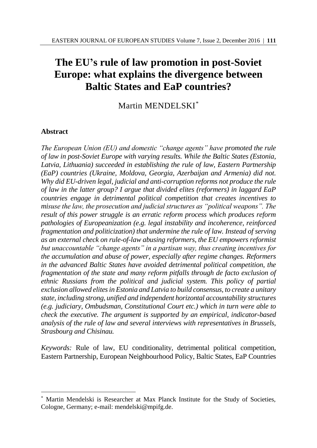# **The EU's rule of law promotion in post-Soviet Europe: what explains the divergence between Baltic States and EaP countries?**

Martin MENDELSKI\*

## **Abstract**

 $\overline{a}$ 

*The European Union (EU) and domestic "change agents" have promoted the rule of law in post-Soviet Europe with varying results. While the Baltic States (Estonia, Latvia, Lithuania) succeeded in establishing the rule of law, Eastern Partnership (EaP) countries (Ukraine, Moldova, Georgia, Azerbaijan and Armenia) did not. Why did EU-driven legal, judicial and anti-corruption reforms not produce the rule of law in the latter group? I argue that divided elites (reformers) in laggard EaP countries engage in detrimental political competition that creates incentives to misuse the law, the prosecution and judicial structures as "political weapons". The result of this power struggle is an erratic reform process which produces reform pathologies of Europeanization (e.g. legal instability and incoherence, reinforced fragmentation and politicization) that undermine the rule of law. Instead of serving as an external check on rule-of-law abusing reformers, the EU empowers reformist but unaccountable "change agents" in a partisan way, thus creating incentives for the accumulation and abuse of power, especially after regime changes. Reformers in the advanced Baltic States have avoided detrimental political competition, the fragmentation of the state and many reform pitfalls through de facto exclusion of ethnic Russians from the political and judicial system. This policy of partial exclusion allowed elites in Estonia and Latvia to build consensus, to create a unitary state, including strong, unified and independent horizontal accountability structures (e.g. judiciary, Ombudsman, Constitutional Court etc.) which in turn were able to check the executive. The argument is supported by an empirical, indicator-based analysis of the rule of law and several interviews with representatives in Brussels, Strasbourg and Chisinau.* 

*Keywords:* Rule of law, EU conditionality, detrimental political competition, Eastern Partnership, European Neighbourhood Policy, Baltic States, EaP Countries

Martin Mendelski is Researcher at Max Planck Institute for the Study of Societies, Cologne, Germany; e-mail: mendelski@mpifg.de.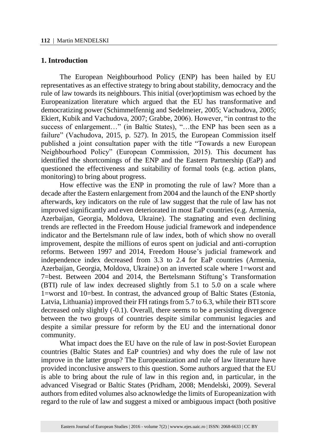#### **1. Introduction**

The European Neighbourhood Policy (ENP) has been hailed by EU representatives as an effective strategy to bring about stability, democracy and the rule of law towards its neighbours. This initial (over)optimism was echoed by the Europeanization literature which argued that the EU has transformative and democratizing power (Schimmelfennig and Sedelmeier, 2005; Vachudova, 2005; Ekiert, Kubik and Vachudova, 2007; Grabbe, 2006). However, "in contrast to the success of enlargement..." (in Baltic States), "...the ENP has been seen as a failure" (Vachudova, 2015, p. 527). In 2015, the European Commission itself published a joint consultation paper with the title "Towards a new European Neighbourhood Policy" (European Commission, 2015). This document has identified the shortcomings of the ENP and the Eastern Partnership (EaP) and questioned the effectiveness and suitability of formal tools (e.g. action plans, monitoring) to bring about progress.

How effective was the ENP in promoting the rule of law? More than a decade after the Eastern enlargement from 2004 and the launch of the ENP shortly afterwards, key indicators on the rule of law suggest that the rule of law has not improved significantly and even deteriorated in most EaP countries (e.g. Armenia, Azerbaijan, Georgia, Moldova, Ukraine). The stagnating and even declining trends are reflected in the Freedom House judicial framework and independence indicator and the Bertelsmann rule of law index, both of which show no overall improvement, despite the millions of euros spent on judicial and anti-corruption reforms. Between 1997 and 2014, Freedom House's judicial framework and independence index decreased from 3.3 to 2.4 for EaP countries (Armenia, Azerbaijan, Georgia, Moldova, Ukraine) on an inverted scale where 1=worst and 7=best. Between 2004 and 2014, the Bertelsmann Stiftung's Transformation (BTI) rule of law index decreased slightly from 5.1 to 5.0 on a scale where 1=worst and 10=best. In contrast, the advanced group of Baltic States (Estonia, Latvia, Lithuania) improved their FH ratings from 5.7 to 6.3, while their BTI score decreased only slightly (-0.1). Overall, there seems to be a persisting divergence between the two groups of countries despite similar communist legacies and despite a similar pressure for reform by the EU and the international donor community.

What impact does the EU have on the rule of law in post-Soviet European countries (Baltic States and EaP countries) and why does the rule of law not improve in the latter group? The Europeanization and rule of law literature have provided inconclusive answers to this question. Some authors argued that the EU is able to bring about the rule of law in this region and, in particular, in the advanced Visegrad or Baltic States (Pridham, 2008; Mendelski, 2009). Several authors from edited volumes also acknowledge the limits of Europeanization with regard to the rule of law and suggest a mixed or ambiguous impact (both positive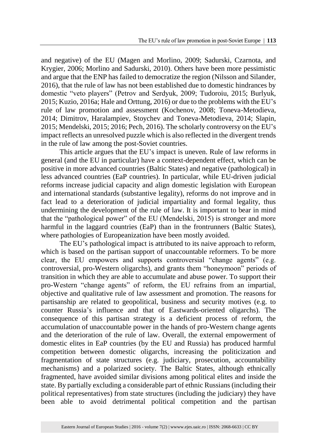and negative) of the EU (Magen and Morlino, 2009; Sadurski, Czarnota, and Krygier, 2006; Morlino and Sadurski, 2010). Others have been more pessimistic and argue that the ENP has failed to democratize the region (Nilsson and Silander, 2016), that the rule of law has not been established due to domestic hindrances by domestic "veto players" (Petrov and Serdyuk, 2009; Tudoroiu, 2015; Burlyuk, 2015; Kuzio, 2016a; Hale and Orttung, 2016) or due to the problems with the EU's rule of law promotion and assessment (Kochenov, 2008; Toneva-Metodieva, 2014; Dimitrov, Haralampiev, Stoychev and Toneva-Metodieva, 2014; Slapin, 2015; Mendelski, 2015; 2016; Pech, 2016). The scholarly controversy on the EU's impact reflects an unresolved puzzle which is also reflected in the divergent trends in the rule of law among the post-Soviet countries.

This article argues that the EU's impact is uneven. Rule of law reforms in general (and the EU in particular) have a context-dependent effect, which can be positive in more advanced countries (Baltic States) and negative (pathological) in less advanced countries (EaP countries). In particular, while EU-driven judicial reforms increase judicial capacity and align domestic legislation with European and international standards (substantive legality), reforms do not improve and in fact lead to a deterioration of judicial impartiality and formal legality, thus undermining the development of the rule of law. It is important to bear in mind that the "pathological power" of the EU (Mendelski, 2015) is stronger and more harmful in the laggard countries (EaP) than in the frontrunners (Baltic States), where pathologies of Europeanization have been mostly avoided.

The EU's pathological impact is attributed to its naive approach to reform, which is based on the partisan support of unaccountable reformers. To be more clear, the EU empowers and supports controversial "change agents" (e.g. controversial, pro-Western oligarchs), and grants them "honeymoon" periods of transition in which they are able to accumulate and abuse power. To support their pro-Western "change agents" of reform, the EU refrains from an impartial, objective and qualitative rule of law assessment and promotion. The reasons for partisanship are related to geopolitical, business and security motives (e.g. to counter Russia's influence and that of Eastwards-oriented oligarchs). The consequence of this partisan strategy is a deficient process of reform, the accumulation of unaccountable power in the hands of pro-Western change agents and the deterioration of the rule of law. Overall, the external empowerment of domestic elites in EaP countries (by the EU and Russia) has produced harmful competition between domestic oligarchs, increasing the politicization and fragmentation of state structures (e.g. judiciary, prosecution, accountability mechanisms) and a polarized society. The Baltic States, although ethnically fragmented, have avoided similar divisions among political elites and inside the state. By partially excluding a considerable part of ethnic Russians (including their political representatives) from state structures (including the judiciary) they have been able to avoid detrimental political competition and the partisan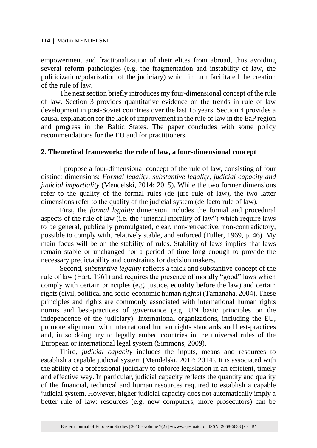empowerment and fractionalization of their elites from abroad, thus avoiding several reform pathologies (e.g. the fragmentation and instability of law, the politicization/polarization of the judiciary) which in turn facilitated the creation of the rule of law.

The next section briefly introduces my four-dimensional concept of the rule of law. Section 3 provides quantitative evidence on the trends in rule of law development in post-Soviet countries over the last 15 years. Section 4 provides a causal explanation for the lack of improvement in the rule of law in the EaP region and progress in the Baltic States. The paper concludes with some policy recommendations for the EU and for practitioners.

#### **2. Theoretical framework: the rule of law, a four-dimensional concept**

I propose a four-dimensional concept of the rule of law, consisting of four distinct dimensions: *Formal legality*, *substantive legality*, *judicial capacity and judicial impartiality* (Mendelski, 2014; 2015). While the two former dimensions refer to the quality of the formal rules (de jure rule of law), the two latter dimensions refer to the quality of the judicial system (de facto rule of law).

First, the *formal legality* dimension includes the formal and procedural aspects of the rule of law (i.e. the "internal morality of law") which require laws to be general, publically promulgated, clear, non-retroactive, non-contradictory, possible to comply with, relatively stable, and enforced (Fuller, 1969, p. 46). My main focus will be on the stability of rules. Stability of laws implies that laws remain stable or unchanged for a period of time long enough to provide the necessary predictability and constraints for decision makers.

Second, *substantive legality* reflects a thick and substantive concept of the rule of law (Hart, 1961) and requires the presence of morally "good" laws which comply with certain principles (e.g. justice, equality before the law) and certain rights (civil, political and socio-economic human rights) (Tamanaha, 2004). These principles and rights are commonly associated with international human rights norms and best-practices of governance (e.g. UN basic principles on the independence of the judiciary). International organizations, including the EU, promote alignment with international human rights standards and best-practices and, in so doing, try to legally embed countries in the universal rules of the European or international legal system (Simmons, 2009).

Third, *judicial capacity* includes the inputs, means and resources to establish a capable judicial system (Mendelski, 2012; 2014). It is associated with the ability of a professional judiciary to enforce legislation in an efficient, timely and effective way. In particular, judicial capacity reflects the quantity and quality of the financial, technical and human resources required to establish a capable judicial system. However, higher judicial capacity does not automatically imply a better rule of law: resources (e.g. new computers, more prosecutors) can be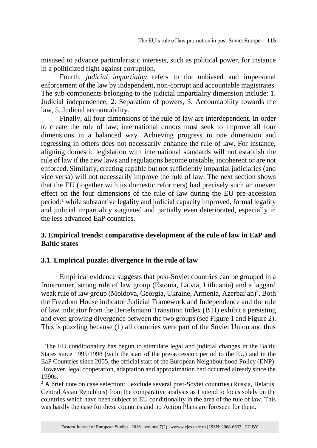misused to advance particularistic interests, such as political power, for instance in a politicized fight against corruption.

Fourth, *judicial impartiality* refers to the unbiased and impersonal enforcement of the law by independent, non-corrupt and accountable magistrates. The sub-components belonging to the judicial impartiality dimension include: 1. Judicial independence, 2. Separation of powers, 3. Accountability towards the law, 5. Judicial accountability.

Finally, all four dimensions of the rule of law are interdependent. In order to create the rule of law, international donors must seek to improve all four dimensions in a balanced way. Achieving progress in one dimension and regressing in others does not necessarily enhance the rule of law. For instance, aligning domestic legislation with international standards will not establish the rule of law if the new laws and regulations become unstable, incoherent or are not enforced. Similarly, creating capable but not sufficiently impartial judiciaries (and vice versa) will not necessarily improve the rule of law. The next section shows that the EU (together with its domestic reformers) had precisely such an uneven effect on the four dimensions of the rule of law during the EU pre-accession  $period:$ <sup>1</sup> while substantive legality and judicial capacity improved, formal legality and judicial impartiality stagnated and partially even deteriorated, especially in the less advanced EaP countries.

## **3. Empirical trends: comparative development of the rule of law in EaP and Baltic states**

## **3.1. Empirical puzzle: divergence in the rule of law**

 $\overline{a}$ 

Empirical evidence suggests that post-Soviet countries can be grouped in a frontrunner, strong rule of law group (Estonia, Latvia, Lithuania) and a laggard weak rule of law group (Moldova, Georgia, Ukraine, Armenia, Azerbaijan)<sup>2</sup>. Both the Freedom House indicator Judicial Framework and Independence and the rule of law indicator from the Bertelsmann Transition Index (BTI) exhibit a persisting and even growing divergence between the two groups (see Figure 1 and Figure 2). This is puzzling because (1) all countries were part of the Soviet Union and thus

<sup>&</sup>lt;sup>1</sup> The EU conditionality has begun to stimulate legal and judicial changes in the Baltic States since 1995/1998 (with the start of the pre-accession period to the EU) and in the EaP Countries since 2005, the official start of the European Neighbourhood Policy (ENP). However, legal cooperation, adaptation and approximation had occurred already since the 1990s.

<sup>&</sup>lt;sup>2</sup> A brief note on case selection: I exclude several post-Soviet countries (Russia, Belarus, Central Asian Republics) from the comparative analysis as I intend to focus solely on the countries which have been subject to EU conditionality in the area of the rule of law. This was hardly the case for these countries and no Action Plans are foreseen for them.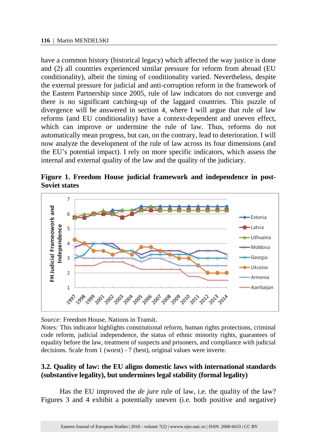have a common history (historical legacy) which affected the way justice is done and (2) all countries experienced similar pressure for reform from abroad (EU conditionality), albeit the timing of conditionality varied. Nevertheless, despite the external pressure for judicial and anti-corruption reform in the framework of the Eastern Partnership since 2005, rule of law indicators do not converge and there is no significant catching-up of the laggard countries. This puzzle of divergence will be answered in section 4, where I will argue that rule of law reforms (and EU conditionality) have a context-dependent and uneven effect, which can improve *or* undermine the rule of law. Thus, reforms do not automatically mean progress, but can, on the contrary, lead to deterioration. I will now analyze the development of the rule of law across its four dimensions (and the EU's potential impact). I rely on more specific indicators, which assess the internal and external quality of the law and the quality of the judiciary.

**Figure 1. Freedom House judicial framework and independence in post-Soviet states**



*Source:* Freedom House, Nations in Transit.

*Notes:* This indicator highlights constitutional reform, human rights protections, criminal code reform, judicial independence, the status of ethnic minority rights, guarantees of equality before the law, treatment of suspects and prisoners, and compliance with judicial decisions. Scale from 1 (worst) - 7 (best), original values were inverte.

### **3.2. Quality of law: the EU aligns domestic laws with international standards (substantive legality), but undermines legal stability (formal legality)**

Has the EU improved the *de jure* rule of law, i.e. the quality of the law? Figures 3 and 4 exhibit a potentially uneven (i.e. both positive and negative)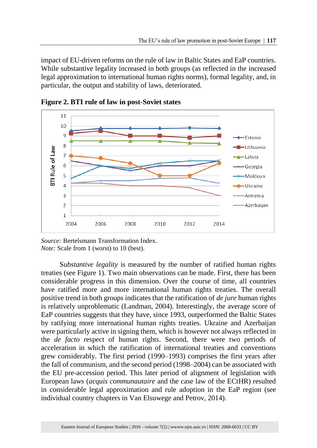impact of EU-driven reforms on the rule of law in Baltic States and EaP countries. While substantive legality increased in both groups (as reflected in the increased legal approximation to international human rights norms), formal legality, and, in particular, the output and stability of laws, deteriorated.



**Figure 2. BTI rule of law in post-Soviet states**

S*ubstantive legality* is measured by the number of ratified human rights treaties (see Figure 1). Two main observations can be made. First, there has been considerable progress in this dimension. Over the course of time, all countries have ratified more and more international human rights treaties. The overall positive trend in both groups indicates that the ratification of *de jure* human rights is relatively unproblematic (Landman, 2004). Interestingly, the average score of EaP countries suggests that they have, since 1993, outperformed the Baltic States by ratifying more international human rights treaties. Ukraine and Azerbaijan were particularly active in signing them, which is however not always reflected in the *de facto* respect of human rights. Second, there were two periods of acceleration in which the ratification of international treaties and conventions grew considerably. The first period (1990–1993) comprises the first years after the fall of communism, and the second period (1998–2004) can be associated with the EU pre-accession period. This later period of alignment of legislation with European laws (*acquis communautaire* and the case law of the ECtHR) resulted in considerable legal approximation and rule adoption in the EaP region (see individual country chapters in Van Elsuwege and Petrov, 2014).

*Source:* Bertelsmann Transformation Index. *Note:* Scale from 1 (worst) to 10 (best).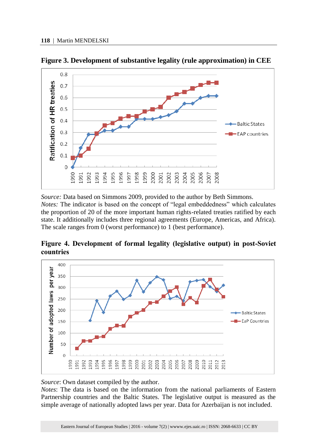

**Figure 3. Development of substantive legality (rule approximation) in CEE**

*Source:* Data based on Simmons 2009, provided to the author by Beth Simmons. *Notes:* The indicator is based on the concept of "legal embeddedness" which calculates the proportion of 20 of the more important human rights-related treaties ratified by each state. It additionally includes three regional agreements (Europe, Americas, and Africa). The scale ranges from 0 (worst performance) to 1 (best performance).

**Figure 4. Development of formal legality (legislative output) in post-Soviet countries**



*Source*: Own dataset compiled by the author.

*Notes*: The data is based on the information from the national parliaments of Eastern Partnership countries and the Baltic States. The legislative output is measured as the simple average of nationally adopted laws per year. Data for Azerbaijan is not included.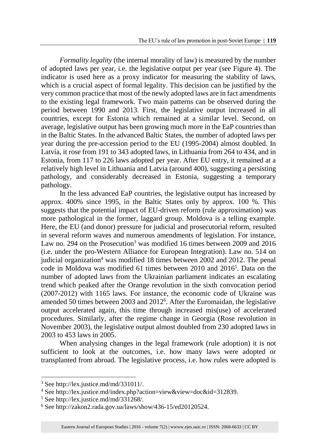*Formality legality* (the internal morality of law) is measured by the number of adopted laws per year, i.e. the legislative output per year (see Figure 4). The indicator is used here as a proxy indicator for measuring the stability of laws, which is a crucial aspect of formal legality. This decision can be justified by the very common practice that most of the newly adopted laws are in fact amendments to the existing legal framework. Two main patterns can be observed during the period between 1990 and 2013. First, the legislative output increased in all countries, except for Estonia which remained at a similar level. Second, on average, legislative output has been growing much more in the EaP countries than in the Baltic States. In the advanced Baltic States, the number of adopted laws per year during the pre-accession period to the EU (1995-2004) almost doubled. In Latvia, it rose from 191 to 343 adopted laws, in Lithuania from 264 to 434, and in Estonia, from 117 to 226 laws adopted per year. After EU entry, it remained at a relatively high level in Lithuania and Latvia (around 400), suggesting a persisting pathology, and considerably decreased in Estonia, suggesting a temporary pathology.

In the less advanced EaP countries, the legislative output has increased by approx. 400% since 1995, in the Baltic States only by approx. 100 %. This suggests that the potential impact of EU-driven reform (rule approximation) was more pathological in the former, laggard group. Moldova is a telling example. Here, the EU (and donor) pressure for judicial and prosecutorial reform, resulted in several reform waves and numerous amendments of legislation. For instance, Law no. 294 on the Prosecution<sup>3</sup> was modified 16 times between 2009 and 2016 (i.e. under the pro-Western Alliance for European Integration). Law no. 514 on judicial organization<sup>4</sup> was modified 18 times between 2002 and 2012. The penal code in Moldova was modified 61 times between 2010 and 2016<sup>5</sup>. Data on the number of adopted laws from the Ukrainian parliament indicates an escalating trend which peaked after the Orange revolution in the sixth convocation period (2007-2012) with 1165 laws. For instance, the economic code of Ukraine was amended 50 times between 2003 and 2012<sup>6</sup>. After the Euromaidan, the legislative output accelerated again, this time through increased mis(use) of accelerated procedures. Similarly, after the regime change in Georgia (Rose revolution in November 2003), the legislative output almost doubled from 230 adopted laws in 2003 to 453 laws in 2005.

When analysing changes in the legal framework (rule adoption) it is not sufficient to look at the outcomes, i.e. how many laws were adopted or transplanted from abroad. The legislative process, i.e. how rules were adopted is

<sup>3</sup> See http://lex.justice.md/md/331011/.

<sup>4</sup> See http://lex.justice.md/index.php?action=view&view=doc&id=312839.

<sup>5</sup> See http://lex.justice.md/md/331268/.

 $6$  See http://zakon2.rada.gov.ua/laws/show/436-15/ed20120524.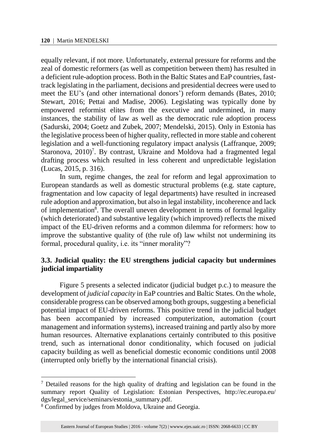equally relevant, if not more. Unfortunately, external pressure for reforms and the zeal of domestic reformers (as well as competition between them) has resulted in a deficient rule-adoption process. Both in the Baltic States and EaP countries, fasttrack legislating in the parliament, decisions and presidential decrees were used to meet the EU's (and other international donors') reform demands (Bates, 2010; Stewart, 2016; Pettai and Madise, 2006). Legislating was typically done by empowered reformist elites from the executive and undermined, in many instances, the stability of law as well as the democratic rule adoption process (Sadurski, 2004; Goetz and Zubek, 2007; Mendelski, 2015). Only in Estonia has the legislative process been of higher quality, reflected in more stable and coherent legislation and a well-functioning regulatory impact analysis (Laffranque, 2009; Staronova,  $2010$ <sup>7</sup>. By contrast, Ukraine and Moldova had a fragmented legal drafting process which resulted in less coherent and unpredictable legislation (Lucas, 2015, p. 316).

In sum, regime changes, the zeal for reform and legal approximation to European standards as well as domestic structural problems (e.g. state capture, fragmentation and low capacity of legal departments) have resulted in increased rule adoption and approximation, but also in legal instability, incoherence and lack of implementation<sup>8</sup>. The overall uneven development in terms of formal legality (which deteriorated) and substantive legality (which improved) reflects the mixed impact of the EU-driven reforms and a common dilemma for reformers: how to improve the substantive quality of (the rule of) law whilst not undermining its formal, procedural quality, i.e. its "inner morality"?

### **3.3. Judicial quality: the EU strengthens judicial capacity but undermines judicial impartiality**

Figure 5 presents a selected indicator (judicial budget p.c.) to measure the development of *judicial capacity* in EaP countries and Baltic States. On the whole, considerable progress can be observed among both groups, suggesting a beneficial potential impact of EU-driven reforms. This positive trend in the judicial budget has been accompanied by increased computerization, automation (court management and information systems), increased training and partly also by more human resources. Alternative explanations certainly contributed to this positive trend, such as international donor conditionality, which focused on judicial capacity building as well as beneficial domestic economic conditions until 2008 (interrupted only briefly by the international financial crisis).

<sup>7</sup> Detailed reasons for the high quality of drafting and legislation can be found in the summary report Quality of Legislation: Estonian Perspectives, http://ec.europa.eu/ dgs/legal\_service/seminars/estonia\_summary.pdf.

<sup>8</sup> Confirmed by judges from Moldova, Ukraine and Georgia.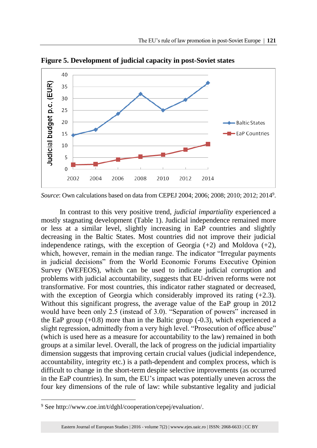

**Figure 5. Development of judicial capacity in post-Soviet states**

In contrast to this very positive trend, *judicial impartiality* experienced a mostly stagnating development (Table 1). Judicial independence remained more or less at a similar level, slightly increasing in EaP countries and slightly decreasing in the Baltic States. Most countries did not improve their judicial independence ratings, with the exception of Georgia  $(+2)$  and Moldova  $(+2)$ , which, however, remain in the median range. The indicator "Irregular payments in judicial decisions" from the World Economic Forums Executive Opinion Survey (WEFEOS), which can be used to indicate judicial corruption and problems with judicial accountability, suggests that EU-driven reforms were not transformative. For most countries, this indicator rather stagnated or decreased, with the exception of Georgia which considerably improved its rating  $(+2.3)$ . Without this significant progress, the average value of the EaP group in 2012 would have been only 2.5 (instead of 3.0). "Separation of powers" increased in the EaP group  $(+0.8)$  more than in the Baltic group  $(-0.3)$ , which experienced a slight regression, admittedly from a very high level. "Prosecution of office abuse" (which is used here as a measure for accountability to the law) remained in both groups at a similar level. Overall, the lack of progress on the judicial impartiality dimension suggests that improving certain crucial values (judicial independence, accountability, integrity etc.) is a path-dependent and complex process, which is difficult to change in the short-term despite selective improvements (as occurred in the EaP countries). In sum, the EU's impact was potentially uneven across the four key dimensions of the rule of law: while substantive legality and judicial

*Source*: Own calculations based on data from CEPEJ 2004; 2006; 2008; 2010; 2012; 2014<sup>9</sup> .

<sup>9</sup> See http://www.coe.int/t/dghl/cooperation/cepej/evaluation/.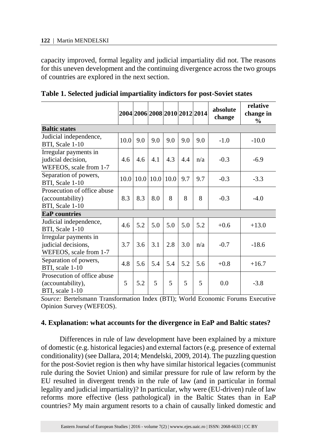capacity improved, formal legality and judicial impartiality did not. The reasons for this uneven development and the continuing divergence across the two groups of countries are explored in the next section.

|                                                                        |      | 2004 2006 2008 2010 2012 2014 |      |      |     |     | absolute<br>change | relative<br>change in<br>$\frac{6}{9}$ |
|------------------------------------------------------------------------|------|-------------------------------|------|------|-----|-----|--------------------|----------------------------------------|
| <b>Baltic states</b>                                                   |      |                               |      |      |     |     |                    |                                        |
| Judicial independence,<br>BTI, Scale 1-10                              | 10.0 | 9.0                           | 9.0  | 9.0  | 9.0 | 9.0 | $-1.0$             | $-10.0$                                |
| Irregular payments in<br>judicial decision,<br>WEFEOS, scale from 1-7  | 4.6  | 4.6                           | 4.1  | 4.3  | 4.4 | n/a | $-0.3$             | $-6.9$                                 |
| Separation of powers,<br>BTI, Scale 1-10                               | 10.0 | 10.0                          | 10.0 | 10.0 | 9.7 | 9.7 | $-0.3$             | $-3.3$                                 |
| Prosecution of office abuse<br>(accountability)<br>BTI, Scale 1-10     | 8.3  | 8.3                           | 8.0  | 8    | 8   | 8   | $-0.3$             | $-4.0$                                 |
| <b>EaP</b> countries                                                   |      |                               |      |      |     |     |                    |                                        |
| Judicial independence,<br>BTI, Scale 1-10                              | 4.6  | 5.2                           | 5.0  | 5.0  | 5.0 | 5.2 | $+0.6$             | $+13.0$                                |
| Irregular payments in<br>judicial decisions,<br>WEFEOS, scale from 1-7 | 3.7  | 3.6                           | 3.1  | 2.8  | 3.0 | n/a | $-0.7$             | $-18.6$                                |
| Separation of powers,<br>BTI, scale 1-10                               | 4.8  | 5.6                           | 5.4  | 5.4  | 5.2 | 5.6 | $+0.8$             | $+16.7$                                |
| Prosecution of office abuse<br>(accountability),<br>BTI, scale 1-10    | 5    | 5.2                           | 5    | 5    | 5   | 5   | 0.0                | $-3.8$                                 |

**Table 1. Selected judicial impartiality indictors for post-Soviet states**

*Source:* Bertelsmann Transformation Index (BTI); World Economic Forums Executive Opinion Survey (WEFEOS).

#### **4. Explanation: what accounts for the divergence in EaP and Baltic states?**

Differences in rule of law development have been explained by a mixture of domestic (e.g. historical legacies) and external factors (e.g. presence of external conditionality) (see Dallara, 2014; Mendelski, 2009, 2014). The puzzling question for the post-Soviet region is then why have similar historical legacies (communist rule during the Soviet Union) and similar pressure for rule of law reform by the EU resulted in divergent trends in the rule of law (and in particular in formal legality and judicial impartiality)? In particular, why were (EU-driven) rule of law reforms more effective (less pathological) in the Baltic States than in EaP countries? My main argument resorts to a chain of causally linked domestic and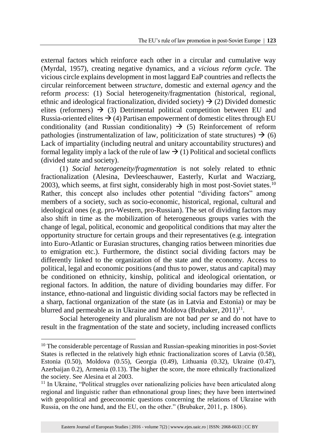external factors which reinforce each other in a circular and cumulative way (Myrdal, 1957), creating negative dynamics, and a *vicious reform cycle*. The vicious circle explains development in most laggard EaP countries and reflects the circular reinforcement between *structure*, domestic and external *agency* and the reform *process*: (1) Social heterogeneity/fragmentation (historical, regional, ethnic and ideological fractionalization, divided society)  $\rightarrow$  (2) Divided domestic elites (reformers)  $\rightarrow$  (3) Detrimental political competition between EU and Russia-oriented elites  $\rightarrow$  (4) Partisan empowerment of domestic elites through EU conditionality (and Russian conditionality)  $\rightarrow$  (5) Reinforcement of reform pathologies (instrumentalization of law, politicization of state structures)  $\rightarrow$  (6) Lack of impartiality (including neutral and unitary accountability structures) and formal legality imply a lack of the rule of law  $\rightarrow$  (1) Political and societal conflicts (divided state and society).

(1) *Social heterogeneity/fragmentation* is not solely related to ethnic fractionalization (Alesina, Devleeschauwer, Easterly, Kurlat and Wacziarg,  $2003$ ), which seems, at first sight, considerably high in most post-Soviet states.<sup>10</sup> Rather, this concept also includes other potential "dividing factors" among members of a society, such as socio-economic, historical, regional, cultural and ideological ones (e.g. pro-Western, pro-Russian). The set of dividing factors may also shift in time as the mobilization of heterogeneous groups varies with the change of legal, political, economic and geopolitical conditions that may alter the opportunity structure for certain groups and their representatives (e.g. integration into Euro-Atlantic or Eurasian structures, changing ratios between minorities due to emigration etc.). Furthermore, the distinct social dividing factors may be differently linked to the organization of the state and the economy. Access to political, legal and economic positions (and thus to power, status and capital) may be conditioned on ethnicity, kinship, political and ideological orientation, or regional factors. In addition, the nature of dividing boundaries may differ. For instance, ethno-national and linguistic dividing social factors may be reflected in a sharp, factional organization of the state (as in Latvia and Estonia) or may be blurred and permeable as in Ukraine and Moldova (Brubaker,  $2011$ )<sup>11</sup>.

Social heterogeneity and pluralism are not bad *per se* and do not have to result in the fragmentation of the state and society, including increased conflicts

<sup>&</sup>lt;sup>10</sup> The considerable percentage of Russian and Russian-speaking minorities in post-Soviet States is reflected in the relatively high ethnic fractionalization scores of Latvia (0.58), Estonia (0.50), Moldova (0.55), Georgia (0.49), Lithuania (0.32), Ukraine (0.47), Azerbaijan 0.2), Armenia (0.13). The higher the score, the more ethnically fractionalized the society. See Alesina et al 2003.

 $11$  In Ukraine, "Political struggles over nationalizing policies have been articulated along regional and linguistic rather than ethnonational group lines; they have been intertwined with geopolitical and geoeconomic questions concerning the relations of Ukraine with Russia, on the one hand, and the EU, on the other." (Brubaker, 2011, p. 1806).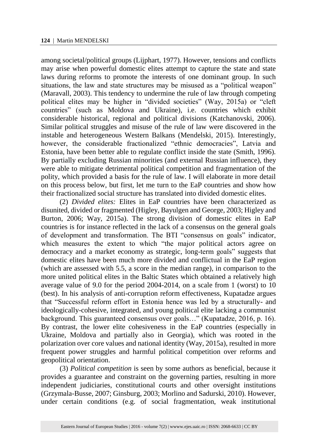among societal/political groups (Lijphart, 1977). However, tensions and conflicts may arise when powerful domestic elites attempt to capture the state and state laws during reforms to promote the interests of one dominant group. In such situations, the law and state structures may be misused as a "political weapon" (Maravall, 2003). This tendency to undermine the rule of law through competing political elites may be higher in "divided societies" (Way, 2015a) or "cleft countries" (such as Moldova and Ukraine), i.e. countries which exhibit considerable historical, regional and political divisions (Katchanovski, 2006). Similar political struggles and misuse of the rule of law were discovered in the instable and heterogeneous Western Balkans (Mendelski, 2015). Interestingly, however, the considerable fractionalized "ethnic democracies", Latvia and Estonia, have been better able to regulate conflict inside the state (Smith, 1996). By partially excluding Russian minorities (and external Russian influence), they were able to mitigate detrimental political competition and fragmentation of the polity, which provided a basis for the rule of law. I will elaborate in more detail on this process below, but first, let me turn to the EaP countries and show how their fractionalized social structure has translated into divided domestic elites.

(2) *Divided elites:* Elites in EaP countries have been characterized as disunited, divided or fragmented (Higley, Bayulgen and George, 2003; Higley and Burton, 2006; Way, 2015a). The strong division of domestic elites in EaP countries is for instance reflected in the lack of a consensus on the general goals of development and transformation. The BTI "consensus on goals" indicator, which measures the extent to which "the major political actors agree on democracy and a market economy as strategic, long-term goals" suggests that domestic elites have been much more divided and conflictual in the EaP region (which are assessed with 5.5, a score in the median range), in comparison to the more united political elites in the Baltic States which obtained a relatively high average value of 9.0 for the period 2004-2014, on a scale from 1 (worst) to 10 (best). In his analysis of anti-corruption reform effectiveness, Kupatadze argues that "Successful reform effort in Estonia hence was led by a structurally- and ideologically-cohesive, integrated, and young political elite lacking a communist background. This guaranteed consensus over goals…" (Kupatadze, 2016, p. 16). By contrast, the lower elite cohesiveness in the EaP countries (especially in Ukraine, Moldova and partially also in Georgia), which was rooted in the polarization over core values and national identity (Way, 2015a), resulted in more frequent power struggles and harmful political competition over reforms and geopolitical orientation.

(3) *Political competition* is seen by some authors as beneficial, because it provides a guarantee and constraint on the governing parties, resulting in more independent judiciaries, constitutional courts and other oversight institutions (Grzymala-Busse, 2007; Ginsburg, 2003; Morlino and Sadurski, 2010). However, under certain conditions (e.g. of social fragmentation, weak institutional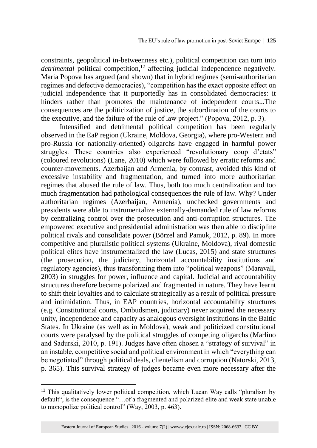constraints, geopolitical in-betweenness etc.), political competition can turn into *detrimental* political competition,<sup>12</sup> affecting judicial independence negatively. Maria Popova has argued (and shown) that in hybrid regimes (semi-authoritarian regimes and defective democracies), "competition has the exact opposite effect on judicial independence that it purportedly has in consolidated democracies: it hinders rather than promotes the maintenance of independent courts...The consequences are the politicization of justice, the subordination of the courts to the executive, and the failure of the rule of law project." (Popova, 2012, p. 3).

Intensified and detrimental political competition has been regularly observed in the EaP region (Ukraine, Moldova, Georgia), where pro-Western and pro-Russia (or nationally-oriented) oligarchs have engaged in harmful power struggles. These countries also experienced "revolutionary coup d'etats" (coloured revolutions) (Lane, 2010) which were followed by erratic reforms and counter-movements. Azerbaijan and Armenia, by contrast, avoided this kind of excessive instability and fragmentation, and turned into more authoritarian regimes that abused the rule of law. Thus, both too much centralization and too much fragmentation had pathological consequences the rule of law. Why? Under authoritarian regimes (Azerbaijan, Armenia), unchecked governments and presidents were able to instrumentalize externally-demanded rule of law reforms by centralizing control over the prosecution and anti-corruption structures. The empowered executive and presidential administration was then able to discipline political rivals and consolidate power (Börzel and Pamuk, 2012, p. 89). In more competitive and pluralistic political systems (Ukraine, Moldova), rival domestic political elites have instrumentalized the law (Lucas, 2015) and state structures (the prosecution, the judiciary, horizontal accountability institutions and regulatory agencies), thus transforming them into "political weapons" (Maravall, 2003) in struggles for power, influence and capital. Judicial and accountability structures therefore became polarized and fragmented in nature. They have learnt to shift their loyalties and to calculate strategically as a result of political pressure and intimidation. Thus, in EAP countries, horizontal accountability structures (e.g. Constitutional courts, Ombudsmen, judiciary) never acquired the necessary unity, independence and capacity as analogous oversight institutions in the Baltic States. In Ukraine (as well as in Moldova), weak and politicized constitutional courts were paralysed by the political struggles of competing oligarchs (Marlino and Sadurski, 2010, p. 191). Judges have often chosen a "strategy of survival" in an instable, competitive social and political environment in which "everything can be negotiated" through political deals, clientelism and corruption (Natorski, 2013, p. 365). This survival strategy of judges became even more necessary after the

l

 $12$  This qualitatively lower political competition, which Lucan Way calls "pluralism by default", is the consequence "…of a fragmented and polarized elite and weak state unable to monopolize political control" (Way, 2003, p. 463).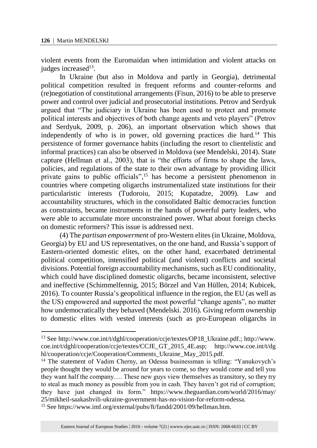$\overline{a}$ 

violent events from the Euromaidan when intimidation and violent attacks on judges increased<sup>13</sup>.

In Ukraine (but also in Moldova and partly in Georgia), detrimental political competition resulted in frequent reforms and counter-reforms and (re)negotiation of constitutional arrangements (Fisun, 2016) to be able to preserve power and control over judicial and prosecutorial institutions. Petrov and Serdyuk argued that "The judiciary in Ukraine has been used to protect and promote political interests and objectives of both change agents and veto players" (Petrov and Serdyuk, 2009, p. 206), an important observation which shows that independently of who is in power, old governing practices die hard.<sup>14</sup> This persistence of former governance habits (including the resort to clientelistic and informal practices) can also be observed in Moldova (see Mendelski, 2014). State capture (Hellman et al., 2003), that is "the efforts of firms to shape the laws, policies, and regulations of the state to their own advantage by providing illicit private gains to public officials",<sup>15</sup> has become a persistent phenomenon in countries where competing oligarchs instrumentalized state institutions for their particularistic interests (Tudoroiu, 2015; Kupatadze, 2009). Law and accountability structures, which in the consolidated Baltic democracies function as constraints, became instruments in the hands of powerful party leaders, who were able to accumulate more unconstrained power. What about foreign checks on domestic reformers? This issue is addressed next.

(4) The *partisan empowerment* of pro-Western elites (in Ukraine, Moldova, Georgia) by EU and US representatives, on the one hand, and Russia's support of Eastern-oriented domestic elites, on the other hand, exacerbated detrimental political competition, intensified political (and violent) conflicts and societal divisions. Potential foreign accountability mechanisms, such as EU conditionality, which could have disciplined domestic oligarchs, became inconsistent, selective and ineffective (Schimmelfennig, 2015; Börzel and Van Hüllen, 2014; Kubicek, 2016). To counter Russia's geopolitical influence in the region, the EU (as well as the US) empowered and supported the most powerful "change agents", no matter how undemocratically they behaved (Mendelski. 2016). Giving reform ownership to domestic elites with vested interests (such as pro-European oligarchs in

<sup>13</sup> See http://www.coe.int/t/dghl/cooperation/ccje/textes/OP18\_Ukraine.pdf.; http://www. coe.int/t/dghl/cooperation/ccje/textes/CCJE\_GT\_2015\_4E.asp; http://www.coe.int/t/dg hl/cooperation/ccje/Cooperation/Comments\_Ukraine\_May\_2015.pdf.

<sup>&</sup>lt;sup>14</sup> The statement of Vadim Cherny, an Odessa businessman is telling: "Yanukovych's people thought they would be around for years to come, so they would come and tell you they want half the company…. These new guys view themselves as transitory, so they try to steal as much money as possible from you in cash. They haven't got rid of corruption; they have just changed its form." https://www.theguardian.com/world/2016/may/ 25/mikheil-saakashvili-ukraine-government-has-no-vision-for-reform-odessa.

<sup>15</sup> See https://www.imf.org/external/pubs/ft/fandd/2001/09/hellman.htm.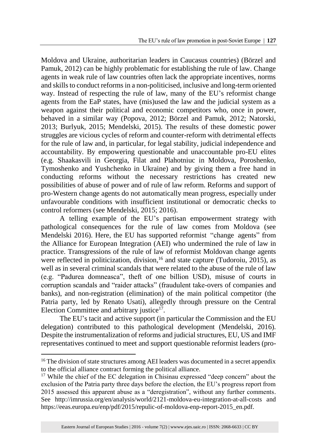Moldova and Ukraine, authoritarian leaders in Caucasus countries) (Börzel and Pamuk, 2012) can be highly problematic for establishing the rule of law. Change agents in weak rule of law countries often lack the appropriate incentives, norms and skills to conduct reforms in a non-politicised, inclusive and long-term oriented way. Instead of respecting the rule of law, many of the EU's reformist change agents from the EaP states, have (mis)used the law and the judicial system as a weapon against their political and economic competitors who, once in power, behaved in a similar way (Popova, 2012; Börzel and Pamuk, 2012; Natorski, 2013; Burlyuk, 2015; Mendelski, 2015). The results of these domestic power struggles are vicious cycles of reform and counter-reform with detrimental effects for the rule of law and, in particular, for legal stability, judicial independence and accountability. By empowering questionable and unaccountable pro-EU elites (e.g. Shaakasvili in Georgia, Filat and Plahotniuc in Moldova, Poroshenko, Tymoshenko and Yushchenko in Ukraine) and by giving them a free hand in conducting reforms without the necessary restrictions has created new possibilities of abuse of power and of rule of law reform. Reforms and support of pro-Western change agents do not automatically mean progress, especially under unfavourable conditions with insufficient institutional or democratic checks to control reformers (see Mendelski, 2015; 2016).

A telling example of the EU's partisan empowerment strategy with pathological consequences for the rule of law comes from Moldova (see Mendelski 2016). Here, the EU has supported reformist "change agents" from the Alliance for European Integration (AEI) who undermined the rule of law in practice. Transgressions of the rule of law of reformist Moldovan change agents were reflected in politicization, division,<sup>16</sup> and state capture (Tudoroiu, 2015), as well as in several criminal scandals that were related to the abuse of the rule of law (e.g. "Padurea domneasca", theft of one billion USD), misuse of courts in corruption scandals and "raider attacks" (fraudulent take-overs of companies and banks), and non-registration (elimination) of the main political competitor (the Patria party, led by Renato Usati), allegedly through pressure on the Central Election Committee and arbitrary justice<sup>17</sup>.

The EU's tacit and active support (in particular the Commission and the EU delegation) contributed to this pathological development (Mendelski, 2016). Despite the instrumentalization of reforms and judicial structures, EU, US and IMF representatives continued to meet and support questionable reformist leaders (pro-

<sup>&</sup>lt;sup>16</sup> The division of state structures among AEI leaders was documented in a secret appendix to the official alliance contract forming the political alliance.

<sup>&</sup>lt;sup>17</sup> While the chief of the EC delegation in Chisinau expressed "deep concern" about the exclusion of the Patria party three days before the election, the EU's progress report from 2015 assessed this apparent abuse as a "deregistration", without any further comments. See http://imrussia.org/en/analysis/world/2121-moldova-eu-integration-at-all-costs and https://eeas.europa.eu/enp/pdf/2015/repulic-of-moldova-enp-report-2015\_en.pdf.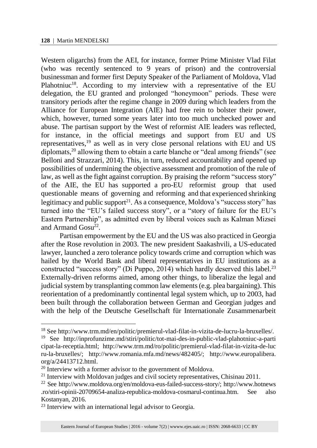l

Western oligarchs) from the AEI, for instance, former Prime Minister Vlad Filat (who was recently sentenced to 9 years of prison) and the controversial businessman and former first Deputy Speaker of the Parliament of Moldova, Vlad Plahotniuc<sup>18</sup>. According to my interview with a representative of the EU delegation, the EU granted and prolonged "honeymoon" periods. These were transitory periods after the regime change in 2009 during which leaders from the Alliance for European Integration (AIE) had free rein to bolster their power, which, however, turned some years later into too much unchecked power and abuse. The partisan support by the West of reformist AIE leaders was reflected, for instance, in the official meetings and support from EU and US representatives,<sup>19</sup> as well as in very close personal relations with EU and US diplomats,<sup>20</sup> allowing them to obtain a carte blanche or "deal among friends" (see Belloni and Strazzari, 2014). This, in turn, reduced accountability and opened up possibilities of undermining the objective assessment and promotion of the rule of law, as well as the fight against corruption. By praising the reform "success story" of the AIE, the EU has supported a pro-EU reformist group that used questionable means of governing and reforming and that experienced shrinking legitimacy and public support<sup>21</sup>. As a consequence, Moldova's "success story" has turned into the "EU's failed success story", or a "story of failure for the EU's Eastern Partnership", as admitted even by liberal voices such as Kalman Mizsei and Armand Gosu<sup>22</sup>.

Partisan empowerment by the EU and the US was also practiced in Georgia after the Rose revolution in 2003. The new president Saakashvili, a US-educated lawyer, launched a zero tolerance policy towards crime and corruption which was hailed by the World Bank and liberal representatives in EU institutions as a constructed "success story" (Di Puppo, 2014) which hardly deserved this label.<sup>23</sup> Externally-driven reforms aimed, among other things, to liberalize the legal and judicial system by transplanting common law elements (e.g. plea bargaining). This reorientation of a predominantly continental legal system which, up to 2003, had been built through the collaboration between German and Georgian judges and with the help of the Deutsche Gesellschaft für Internationale Zusammenarbeit

<sup>18</sup> See http://www.trm.md/en/politic/premierul-vlad-filat-in-vizita-de-lucru-la-bruxelles/.

<sup>19</sup> See http://inprofunzime.md/stiri/politic/tot-mai-des-in-public-vlad-plahotniuc-a-parti cipat-la-receptia.html; http://www.trm.md/ro/politic/premierul-vlad-filat-in-vizita-de-luc ru-la-bruxelles/; http://www.romania.mfa.md/news/482405/; http://www.europalibera. org/a/24413712.html.

<sup>&</sup>lt;sup>20</sup> Interview with a former advisor to the government of Moldova.

<sup>&</sup>lt;sup>21</sup> Interview with Moldovan judges and civil society representatives, Chisinau 2011.

<sup>22</sup> See http://www.moldova.org/en/moldova-eus-failed-success-story/; http://www.hotnews .ro/stiri-opinii-20709654-analiza-republica-moldova-cosmarul-continua.htm. See also Kostanyan, 2016.

<sup>&</sup>lt;sup>23</sup> Interview with an international legal advisor to Georgia.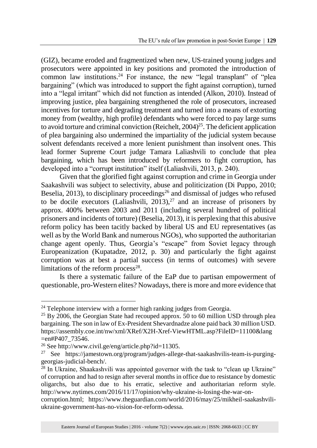(GIZ), became eroded and fragmentized when new, US-trained young judges and prosecutors were appointed in key positions and promoted the introduction of common law institutions.<sup>24</sup> For instance, the new "legal transplant" of "plea bargaining" (which was introduced to support the fight against corruption), turned into a "legal irritant" which did not function as intended (Alkon, 2010). Instead of improving justice, plea bargaining strengthened the role of prosecutors, increased incentives for torture and degrading treatment and turned into a means of extorting money from (wealthy, high profile) defendants who were forced to pay large sums to avoid torture and criminal conviction (Reichelt,  $2004$ )<sup>25</sup>. The deficient application of plea bargaining also undermined the impartiality of the judicial system because solvent defendants received a more lenient punishment than insolvent ones. This lead former Supreme Court judge Tamara Laliashvili to conclude that plea bargaining, which has been introduced by reformers to fight corruption, has developed into a "corrupt institution" itself (Laliashvili, 2013, p. 240).

Given that the glorified fight against corruption and crime in Georgia under Saakashvili was subject to selectivity, abuse and politicization (Di Puppo, 2010; Beselia,  $2013$ ), to disciplinary proceedings<sup>26</sup> and dismissal of judges who refused to be docile executors (Laliashvili,  $2013$ ),<sup>27</sup> and an increase of prisoners by approx. 400% between 2003 and 2011 (including several hundred of political prisoners and incidents of torture) (Beselia, 2013), it is perplexing that this abusive reform policy has been tacitly backed by liberal US and EU representatives (as well as by the World Bank and numerous NGOs), who supported the authoritarian change agent openly. Thus, Georgia's "escape" from Soviet legacy through Europeanization (Kupatadze, 2012, p. 30) and particularly the fight against corruption was at best a partial success (in terms of outcomes) with severe limitations of the reform process $28$ .

Is there a systematic failure of the EaP due to partisan empowerment of questionable, pro-Western elites? Nowadays, there is more and more evidence that

l

 $24$  Telephone interview with a former high ranking judges from Georgia.

<sup>&</sup>lt;sup>25</sup> By 2006, the Georgian State had recouped approx. 50 to 60 million USD through plea bargaining. The son in law of Ex-President Shevardnadze alone paid back 30 million USD. https://assembly.coe.int/nw/xml/XRef/X2H-Xref-ViewHTML.asp?FileID=11100&lang =en#P407\_73546.

<sup>26</sup> See http://www.civil.ge/eng/article.php?id=11305.

<sup>27</sup> See https://jamestown.org/program/judges-allege-that-saakashvilis-team-is-purginggeorgias-judicial-bench/.

<sup>&</sup>lt;sup>28</sup> In Ukraine, Shaakashvili was appointed governor with the task to "clean up Ukraine" of corruption and had to resign after several months in office due to resistance by domestic oligarchs, but also due to his erratic, selective and authoritarian reform style. http://www.nytimes.com/2016/11/17/opinion/why-ukraine-is-losing-the-war-on-

corruption.html; https://www.theguardian.com/world/2016/may/25/mikheil-saakashviliukraine-government-has-no-vision-for-reform-odessa.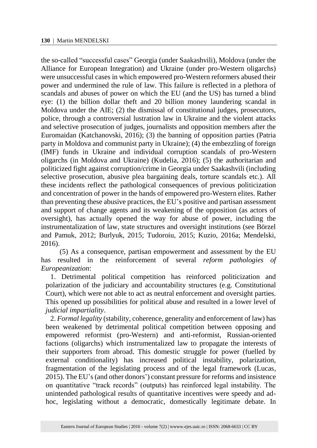the so-called "successful cases" Georgia (under Saakashvili), Moldova (under the Alliance for European Integration) and Ukraine (under pro-Western oligarchs) were unsuccessful cases in which empowered pro-Western reformers abused their power and undermined the rule of law. This failure is reflected in a plethora of scandals and abuses of power on which the EU (and the US) has turned a blind eye: (1) the billion dollar theft and 20 billion money laundering scandal in Moldova under the AIE; (2) the dismissal of constitutional judges, prosecutors, police, through a controversial lustration law in Ukraine and the violent attacks and selective prosecution of judges, journalists and opposition members after the Euromaidan (Katchanovski, 2016); (3) the banning of opposition parties (Patria party in Moldova and communist party in Ukraine); (4) the embezzling of foreign (IMF) funds in Ukraine and individual corruption scandals of pro-Western oligarchs (in Moldova and Ukraine) (Kudelia, 2016); (5) the authoritarian and politicized fight against corruption/crime in Georgia under Saakashvili (including selective prosecution, abusive plea bargaining deals, torture scandals etc.). All these incidents reflect the pathological consequences of previous politicization and concentration of power in the hands of empowered pro-Western elites. Rather than preventing these abusive practices, the EU's positive and partisan assessment and support of change agents and its weakening of the opposition (as actors of oversight), has actually opened the way for abuse of power, including the instrumentalization of law, state structures and oversight institutions (see Börzel and Pamuk, 2012; Burlyuk, 2015; Tudoroiu, 2015; Kuzio, 2016a; Mendelski, 2016).

(5) As a consequence, partisan empowerment and assessment by the EU has resulted in the reinforcement of several *reform pathologies of Europeanization*:

1. Detrimental political competition has reinforced politicization and polarization of the judiciary and accountability structures (e.g. Constitutional Court), which were not able to act as neutral enforcement and oversight parties. This opened up possibilities for political abuse and resulted in a lower level of *judicial impartiality*.

2. *Formal legality* (stability, coherence, generality and enforcement of law) has been weakened by detrimental political competition between opposing and empowered reformist (pro-Western) and anti-reformist, Russian-oriented factions (oligarchs) which instrumentalized law to propagate the interests of their supporters from abroad. This domestic struggle for power (fuelled by external conditionality) has increased political instability, polarization, fragmentation of the legislating process and of the legal framework (Lucas, 2015). The EU's (and other donors') constant pressure for reforms and insistence on quantitative "track records" (outputs) has reinforced legal instability. The unintended pathological results of quantitative incentives were speedy and adhoc, legislating without a democratic, domestically legitimate debate. In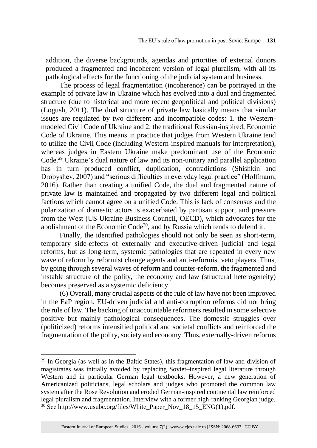addition, the diverse backgrounds, agendas and priorities of external donors produced a fragmented and incoherent version of legal pluralism, with all its pathological effects for the functioning of the judicial system and business.

The process of legal fragmentation (incoherence) can be portrayed in the example of private law in Ukraine which has evolved into a dual and fragmented structure (due to historical and more recent geopolitical and political divisions) (Logush, 2011). The dual structure of private law basically means that similar issues are regulated by two different and incompatible codes: 1. the Westernmodeled Civil Code of Ukraine and 2. the traditional Russian-inspired, Economic Code of Ukraine. This means in practice that judges from Western Ukraine tend to utilize the Civil Code (including Western-inspired manuals for interpretation), whereas judges in Eastern Ukraine make predominant use of the Economic Code.<sup>29</sup> Ukraine's dual nature of law and its non-unitary and parallel application has in turn produced conflict, duplication, contradictions (Shishkin and Drobyshev, 2007) and "serious difficulties in everyday legal practice" (Hoffmann, 2016). Rather than creating a unified Code, the dual and fragmented nature of private law is maintained and propagated by two different legal and political factions which cannot agree on a unified Code. This is lack of consensus and the polarization of domestic actors is exacerbated by partisan support and pressure from the West (US-Ukraine Business Council, OECD), which advocates for the abolishment of the Economic Code<sup>30</sup>, and by Russia which tends to defend it.

Finally, the identified pathologies should not only be seen as short-term, temporary side-effects of externally and executive-driven judicial and legal reforms, but as long-term, systemic pathologies that are repeated in every new wave of reform by reformist change agents and anti-reformist veto players. Thus, by going through several waves of reform and counter-reform, the fragmented and instable structure of the polity, the economy and law (structural heterogeneity) becomes preserved as a systemic deficiency.

(6) Overall, many crucial aspects of the rule of law have not been improved in the EaP region. EU-driven judicial and anti-corruption reforms did not bring the rule of law. The backing of unaccountable reformers resulted in some selective positive but mainly pathological consequences. The domestic struggles over (politicized) reforms intensified political and societal conflicts and reinforced the fragmentation of the polity, society and economy. Thus, externally-driven reforms

<sup>&</sup>lt;sup>29</sup> In Georgia (as well as in the Baltic States), this fragmentation of law and division of magistrates was initially avoided by replacing Soviet–inspired legal literature through Western and in particular German legal textbooks. However, a new generation of Americanized politicians, legal scholars and judges who promoted the common law system after the Rose Revolution and eroded German-inspired continental law reinforced legal pluralism and fragmentation. Interview with a former high-ranking Georgian judge. <sup>30</sup> See http://www.usubc.org/files/White Paper Nov 18 15 ENG(1).pdf.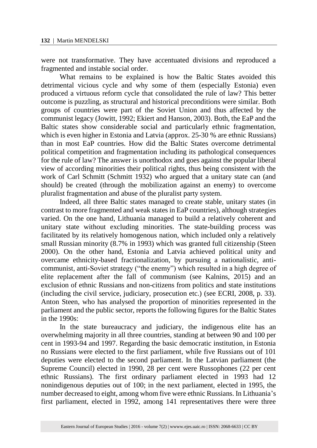were not transformative. They have accentuated divisions and reproduced a fragmented and instable social order.

What remains to be explained is how the Baltic States avoided this detrimental vicious cycle and why some of them (especially Estonia) even produced a virtuous reform cycle that consolidated the rule of law? This better outcome is puzzling, as structural and historical preconditions were similar. Both groups of countries were part of the Soviet Union and thus affected by the communist legacy (Jowitt, 1992; Ekiert and Hanson, 2003). Both, the EaP and the Baltic states show considerable social and particularly ethnic fragmentation, which is even higher in Estonia and Latvia (approx. 25-30 % are ethnic Russians) than in most EaP countries. How did the Baltic States overcome detrimental political competition and fragmentation including its pathological consequences for the rule of law? The answer is unorthodox and goes against the popular liberal view of according minorities their political rights, thus being consistent with the work of Carl Schmitt (Schmitt 1932) who argued that a unitary state can (and should) be created (through the mobilization against an enemy) to overcome pluralist fragmentation and abuse of the pluralist party system.

Indeed, all three Baltic states managed to create stable, unitary states (in contrast to more fragmented and weak states in EaP countries), although strategies varied. On the one hand, Lithuania managed to build a relatively coherent and unitary state without excluding minorities. The state-building process was facilitated by its relatively homogenous nation, which included only a relatively small Russian minority (8.7% in 1993) which was granted full citizenship (Steen 2000). On the other hand, Estonia and Latvia achieved political unity and overcame ethnicity-based fractionalization, by pursuing a nationalistic, anticommunist, anti-Soviet strategy ("the enemy") which resulted in a high degree of elite replacement after the fall of communism (see Kalnins, 2015) and an exclusion of ethnic Russians and non-citizens from politics and state institutions (including the civil service, judiciary, prosecution etc.) (see ECRI, 2008, p. 33). Anton Steen, who has analysed the proportion of minorities represented in the parliament and the public sector, reports the following figures for the Baltic States in the 1990s:

In the state bureaucracy and judiciary, the indigenous elite has an overwhelming majority in all three countries, standing at between 90 and 100 per cent in 1993-94 and 1997. Regarding the basic democratic institution, in Estonia no Russians were elected to the first parliament, while five Russians out of 101 deputies were elected to the second parliament. In the Latvian parliament (the Supreme Council) elected in 1990, 28 per cent were Russophones (22 per cent ethnic Russians). The first ordinary parliament elected in 1993 had 12 nonindigenous deputies out of 100; in the next parliament, elected in 1995, the number decreased to eight, among whom five were ethnic Russians. In Lithuania's first parliament, elected in 1992, among 141 representatives there were three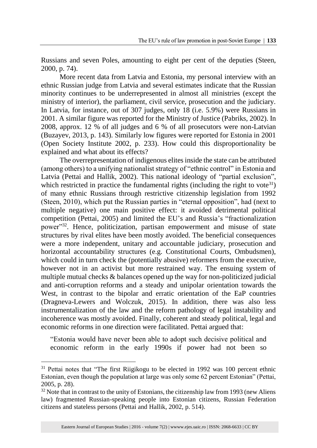Russians and seven Poles, amounting to eight per cent of the deputies (Steen, 2000, p. 74).

More recent data from Latvia and Estonia, my personal interview with an ethnic Russian judge from Latvia and several estimates indicate that the Russian minority continues to be underrepresented in almost all ministries (except the ministry of interior), the parliament, civil service, prosecution and the judiciary. In Latvia, for instance, out of 307 judges, only 18 (i.e. 5.9%) were Russians in 2001. A similar figure was reported for the Ministry of Justice (Pabriks, 2002). In 2008, approx. 12 % of all judges and 6 % of all prosecutors were non-Latvian (Buzayev, 2013, p. 143). Similarly low figures were reported for Estonia in 2001 (Open Society Institute 2002, p. 233). How could this disproportionality be explained and what about its effects?

The overrepresentation of indigenous elites inside the state can be attributed (among others) to a unifying nationalist strategy of "ethnic control" in Estonia and Latvia (Pettai and Hallik, 2002). This national ideology of "partial exclusion", which restricted in practice the fundamental rights (including the right to vote<sup>31</sup>) of many ethnic Russians through restrictive citizenship legislation from 1992 (Steen, 2010), which put the Russian parties in "eternal opposition", had (next to multiple negative) one main positive effect: it avoided detrimental political competition (Pettai, 2005) and limited the EU's and Russia's "fractionalization power"<sup>32</sup> . Hence, politicization, partisan empowerment and misuse of state structures by rival elites have been mostly avoided. The beneficial consequences were a more independent, unitary and accountable judiciary, prosecution and horizontal accountability structures (e.g. Constitutional Courts, Ombudsmen), which could in turn check the (potentially abusive) reformers from the executive, however not in an activist but more restrained way. The ensuing system of multiple mutual checks & balances opened up the way for non-politicized judicial and anti-corruption reforms and a steady and unipolar orientation towards the West, in contrast to the bipolar and erratic orientation of the EaP countries (Dragneva-Lewers and Wolczuk, 2015). In addition, there was also less instrumentalization of the law and the reform pathology of legal instability and incoherence was mostly avoided. Finally, coherent and steady political, legal and economic reforms in one direction were facilitated. Pettai argued that:

"Estonia would have never been able to adopt such decisive political and economic reform in the early 1990s if power had not been so

l

<sup>&</sup>lt;sup>31</sup> Pettai notes that "The first Riigikogu to be elected in 1992 was 100 percent ethnic Estonian, even though the population at large was only some 62 percent Estonian" (Pettai, 2005, p. 28).

 $32$  Note that in contrast to the unity of Estonians, the citizenship law from 1993 (new Aliens law) fragmented Russian-speaking people into Estonian citizens, Russian Federation citizens and stateless persons (Pettai and Hallik, 2002, p. 514).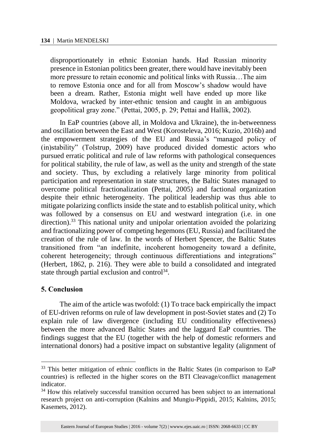disproportionately in ethnic Estonian hands. Had Russian minority presence in Estonian politics been greater, there would have inevitably been more pressure to retain economic and political links with Russia…The aim to remove Estonia once and for all from Moscow's shadow would have been a dream. Rather, Estonia might well have ended up more like Moldova, wracked by inter-ethnic tension and caught in an ambiguous geopolitical gray zone." (Pettai, 2005, p. 29; Pettai and Hallik, 2002).

In EaP countries (above all, in Moldova and Ukraine), the in-betweenness and oscillation between the East and West (Korosteleva, 2016; Kuzio, 2016b) and the empowerment strategies of the EU and Russia's "managed policy of (in)stability" (Tolstrup, 2009) have produced divided domestic actors who pursued erratic political and rule of law reforms with pathological consequences for political stability, the rule of law, as well as the unity and strength of the state and society. Thus, by excluding a relatively large minority from political participation and representation in state structures, the Baltic States managed to overcome political fractionalization (Pettai, 2005) and factional organization despite their ethnic heterogeneity. The political leadership was thus able to mitigate polarizing conflicts inside the state and to establish political unity, which was followed by a consensus on EU and westward integration (i.e. in one direction).<sup>33</sup> This national unity and unipolar orientation avoided the polarizing and fractionalizing power of competing hegemons (EU, Russia) and facilitated the creation of the rule of law. In the words of Herbert Spencer, the Baltic States transitioned from "an indefinite, incoherent homogeneity toward a definite, coherent heterogeneity; through continuous differentiations and integrations" (Herbert, 1862, p. 216). They were able to build a consolidated and integrated state through partial exclusion and control<sup>34</sup>.

#### **5. Conclusion**

l

The aim of the article was twofold: (1) To trace back empirically the impact of EU-driven reforms on rule of law development in post-Soviet states and (2) To explain rule of law divergence (including EU conditionality effectiveness) between the more advanced Baltic States and the laggard EaP countries. The findings suggest that the EU (together with the help of domestic reformers and international donors) had a positive impact on substantive legality (alignment of

<sup>&</sup>lt;sup>33</sup> This better mitigation of ethnic conflicts in the Baltic States (in comparison to EaP countries) is reflected in the higher scores on the BTI Cleavage/conflict management indicator.

<sup>&</sup>lt;sup>34</sup> How this relatively successful transition occurred has been subject to an international research project on anti-corruption (Kalnins and Mungiu-Pippidi, 2015; Kalnins, 2015; Kasemets, 2012).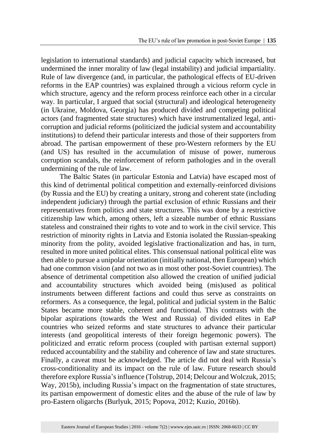legislation to international standards) and judicial capacity which increased, but undermined the inner morality of law (legal instability) and judicial impartiality. Rule of law divergence (and, in particular, the pathological effects of EU-driven reforms in the EAP countries) was explained through a vicious reform cycle in which structure, agency and the reform process reinforce each other in a circular way. In particular, I argued that social (structural) and ideological heterogeneity (in Ukraine, Moldova, Georgia) has produced divided and competing political actors (and fragmented state structures) which have instrumentalized legal, anticorruption and judicial reforms (politicized the judicial system and accountability institutions) to defend their particular interests and those of their supporters from abroad. The partisan empowerment of these pro-Western reformers by the EU (and US) has resulted in the accumulation of misuse of power, numerous corruption scandals, the reinforcement of reform pathologies and in the overall undermining of the rule of law.

The Baltic States (in particular Estonia and Latvia) have escaped most of this kind of detrimental political competition and externally-reinforced divisions (by Russia and the EU) by creating a unitary, strong and coherent state (including independent judiciary) through the partial exclusion of ethnic Russians and their representatives from politics and state structures. This was done by a restrictive citizenship law which, among others, left a sizeable number of ethnic Russians stateless and constrained their rights to vote and to work in the civil service. This restriction of minority rights in Latvia and Estonia isolated the Russian-speaking minority from the polity, avoided legislative fractionalization and has, in turn, resulted in more united political elites. This consensual national political elite was then able to pursue a unipolar orientation (initially national, then European) which had one common vision (and not two as in most other post-Soviet countries). The absence of detrimental competition also allowed the creation of unified judicial and accountability structures which avoided being (mis)used as political instruments between different factions and could thus serve as constraints on reformers. As a consequence, the legal, political and judicial system in the Baltic States became more stable, coherent and functional. This contrasts with the bipolar aspirations (towards the West and Russia) of divided elites in EaP countries who seized reforms and state structures to advance their particular interests (and geopolitical interests of their foreign hegemonic powers). The politicized and erratic reform process (coupled with partisan external support) reduced accountability and the stability and coherence of law and state structures. Finally, a caveat must be acknowledged. The article did not deal with Russia's cross-conditionality and its impact on the rule of law. Future research should therefore explore Russia's influence (Tolstrup, 2014; Delcour and Wolczuk, 2015; Way, 2015b), including Russia's impact on the fragmentation of state structures, its partisan empowerment of domestic elites and the abuse of the rule of law by pro-Eastern oligarchs (Burlyuk, 2015; Popova, 2012; Kuzio, 2016b).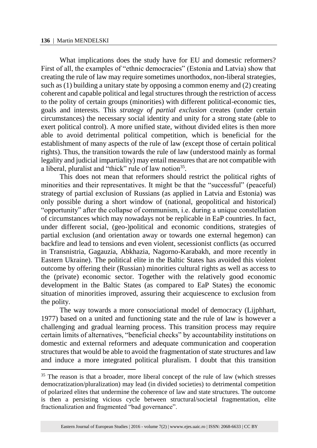l

What implications does the study have for EU and domestic reformers? First of all, the examples of "ethnic democracies" (Estonia and Latvia) show that creating the rule of law may require sometimes unorthodox, non-liberal strategies, such as (1) building a unitary state by opposing a common enemy and (2) creating coherent and capable political and legal structures through the restriction of access to the polity of certain groups (minorities) with different political-economic ties, goals and interests. This *strategy of partial exclusion* creates (under certain circumstances) the necessary social identity and unity for a strong state (able to exert political control). A more unified state, without divided elites is then more able to avoid detrimental political competition, which is beneficial for the establishment of many aspects of the rule of law (except those of certain political rights). Thus, the transition towards the rule of law (understood mainly as formal legality and judicial impartiality) may entail measures that are not compatible with a liberal, pluralist and "thick" rule of law notion<sup>35</sup>.

This does not mean that reformers should restrict the political rights of minorities and their representatives. It might be that the "successful" (peaceful) strategy of partial exclusion of Russians (as applied in Latvia and Estonia) was only possible during a short window of (national, geopolitical and historical) "opportunity" after the collapse of communism, i.e. during a unique constellation of circumstances which may nowadays not be replicable in EaP countries. In fact, under different social, (geo-)political and economic conditions, strategies of partial exclusion (and orientation away or towards one external hegemon) can backfire and lead to tensions and even violent, secessionist conflicts (as occurred in Transnistria, Gagauzia, Abkhazia, Nagorno-Karabakh, and more recently in Eastern Ukraine). The political elite in the Baltic States has avoided this violent outcome by offering their (Russian) minorities cultural rights as well as access to the (private) economic sector. Together with the relatively good economic development in the Baltic States (as compared to EaP States) the economic situation of minorities improved, assuring their acquiescence to exclusion from the polity.

The way towards a more consociational model of democracy (Lijphhart, 1977) based on a united and functioning state and the rule of law is however a challenging and gradual learning process. This transition process may require certain limits of alternatives, "beneficial checks" by accountability institutions on domestic and external reformers and adequate communication and cooperation structures that would be able to avoid the fragmentation of state structures and law and induce a more integrated political pluralism. I doubt that this transition

<sup>&</sup>lt;sup>35</sup> The reason is that a broader, more liberal concept of the rule of law (which stresses democratization/pluralization) may lead (in divided societies) to detrimental competition of polarized elites that undermine the coherence of law and state structures. The outcome is then a persisting vicious cycle between structural/societal fragmentation, elite fractionalization and fragmented "bad governance".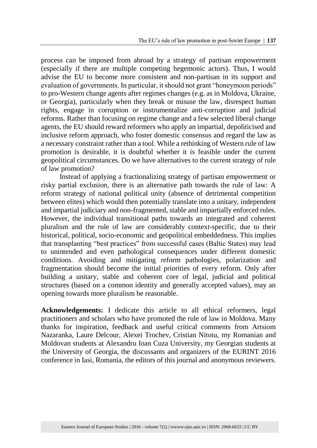process can be imposed from abroad by a strategy of partisan empowerment (especially if there are multiple competing hegemonic actors). Thus, I would advise the EU to become more consistent and non-partisan in its support and evaluation of governments. In particular, it should not grant "honeymoon periods" to pro-Western change agents after regimes changes (e.g. as in Moldova, Ukraine, or Georgia), particularly when they break or misuse the law, disrespect human rights, engage in corruption or instrumentalize anti-corruption and judicial reforms. Rather than focusing on regime change and a few selected liberal change agents, the EU should reward reformers who apply an impartial, depoliticised and inclusive reform approach, who foster domestic consensus and regard the law as a necessary constraint rather than a tool. While a rethinking of Western rule of law promotion is desirable, it is doubtful whether it is feasible under the current geopolitical circumstances. Do we have alternatives to the current strategy of rule of law promotion?

Instead of applying a fractionalizing strategy of partisan empowerment or risky partial exclusion, there is an alternative path towards the rule of law: A reform strategy of national political unity (absence of detrimental competition between elites) which would then potentially translate into a unitary, independent and impartial judiciary and non-fragmented, stable and impartially enforced rules. However, the individual transitional paths towards an integrated and coherent pluralism and the rule of law are considerably context-specific, due to their historical, political, socio-economic and geopolitical embeddedness. This implies that transplanting "best practices" from successful cases (Baltic States) may lead to unintended and even pathological consequences under different domestic conditions. Avoiding and mitigating reform pathologies, polarization and fragmentation should become the initial priorities of every reform. Only after building a unitary, stable and coherent core of legal, judicial and political structures (based on a common identity and generally accepted values), may an opening towards more pluralism be reasonable.

**Acknowledgements:** I dedicate this article to all ethical reformers, legal practitioners and scholars who have promoted the rule of law in Moldova. Many thanks for inspiration, feedback and useful critical comments from Artsiom Nazaranka, Laure Delcour, Alexei Trochev, Cristian Nitoiu, my Romanian and Moldovan students at Alexandru Ioan Cuza University, my Georgian students at the University of Georgia, the discussants and organizers of the EURINT 2016 conference in Iasi, Romania, the editors of this journal and anonymous reviewers.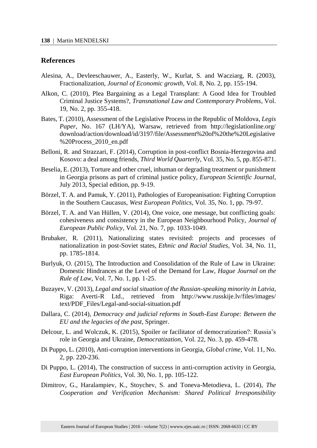#### **References**

- Alesina, A., Devleeschauwer, A., Easterly, W., Kurlat, S. and Wacziarg, R. (2003), Fractionalization, *Journal of Economic growth*, Vol. 8, No. 2, pp. 155-194.
- Alkon, C. (2010), Plea Bargaining as a Legal Transplant: A Good Idea for Troubled Criminal Justice Systems?, *Transnational Law and Contemporary Problems*, Vol. 19, No. 2, pp. 355-418.
- Bates, T. (2010), Assessment of the Legislative Process in the Republic of Moldova, *Legis Paper*, No. 167 (LH/YA), Warsaw, retrieved from http://legislationline.org/ download/action/download/id/3197/file/Assessment%20of%20the%20Legislative %20Process\_2010\_en.pdf
- Belloni, R. and Strazzari, F. (2014), Corruption in post-conflict Bosnia-Herzegovina and Kosovo: a deal among friends, *Third World Quarterly,* Vol. 35, No. 5, pp. 855-871.
- Beselia, E. (2013), Torture and other cruel, inhuman or degrading treatment or punishment in Georgia prisons as part of criminal justice policy, *European Scientific Journal*, July 2013, Special edition, pp. 9-19.
- Börzel, T. A. and Pamuk, Y. (2011), Pathologies of Europeanisation: Fighting Corruption in the Southern Caucasus, *West European Politics,* Vol. 35, No. 1, pp. 79-97.
- Börzel, T. A. and Van Hüllen, V. (2014), One voice, one message, but conflicting goals: cohesiveness and consistency in the European Neighbourhood Policy, *Journal of European Public Policy*, Vol. 21, No. 7, pp. 1033-1049.
- Brubaker, R. (2011), Nationalizing states revisited: projects and processes of nationalization in post-Soviet states, *Ethnic and Racial Studies*, Vol. 34, No. 11, pp. 1785-1814.
- Burlyuk, O. (2015), The Introduction and Consolidation of the Rule of Law in Ukraine: Domestic Hindrances at the Level of the Demand for Law, *Hague Journal on the Rule of Law*, Vol. 7, No. 1, pp. 1-25.
- Buzayev, V. (2013), *Legal and social situation of the Russian-speaking minority in Latvia*, Riga: Averti-R Ltd., retrieved from http://www.russkije.lv/files/images/ text/PDF\_Files/Legal-and-social-situation.pdf
- Dallara, C. (2014), *Democracy and judicial reforms in South-East Europe: Between the EU and the legacies of the past*, Springer.
- Delcour, L. and Wolczuk, K. (2015), Spoiler or facilitator of democratization?: Russia's role in Georgia and Ukraine, *Democratization*, Vol. 22, No. 3, pp. 459-478.
- Di Puppo, L. (2010), Anti-corruption interventions in Georgia, *Global crime*, Vol. 11, No. 2, pp. 220-236.
- Di Puppo, L. (2014), The construction of success in anti-corruption activity in Georgia, *East European Politics*, Vol. 30, No. 1, pp. 105-122.
- Dimitrov, G., Haralampiev, K., Stoychev, S. and Toneva-Metodieva, L. (2014), *The Cooperation and Verification Mechanism: Shared Political Irresponsibility*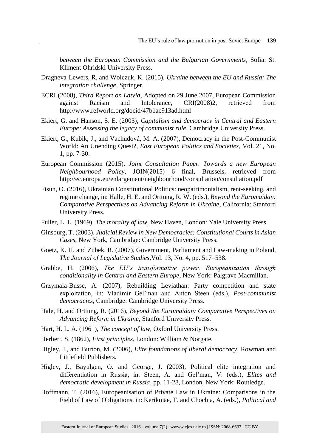*between the European Commission and the Bulgarian Governments*, Sofia: St. Kliment Ohridski University Press.

- Dragneva-Lewers, R. and Wolczuk, K. (2015), *Ukraine between the EU and Russia: The integration challenge*, Springer.
- ECRI (2008), *Third Report on Latvia*, Adopted on 29 June 2007, European Commission against Racism and Intolerance, CRI(2008)2, retrieved from http://www.refworld.org/docid/47b1ac913ad.html
- Ekiert, G. and Hanson, S. E. (2003), *Capitalism and democracy in Central and Eastern Europe: Assessing the legacy of communist rule*, Cambridge University Press.
- Ekiert, G., Kubik, J., and Vachudová, M. A. (2007), Democracy in the Post-Communist World: An Unending Quest?, *East European Politics and Societies*, Vol. 21, No. 1, pp. 7-30.
- European Commission (2015), *Joint Consultation Paper. Towards a new European Neighbourhood Policy*, JOIN(2015) 6 final, Brussels, retrieved from http://ec.europa.eu/enlargement/neighbourhood/consultation/consultation.pdf
- Fisun, O. (2016), Ukrainian Constitutional Politics: neopatrimonialism, rent-seeking, and regime change, in: Halle, H. E. and Orttung, R. W. (eds.), *Beyond the Euromaidan: Comparative Perspectives on Advancing Reform in Ukraine*, California: Stanford University Press.
- Fuller, L. L. (1969), *The morality of law*, New Haven, London: Yale University Press.
- Ginsburg, T. (2003), *Judicial Review in New Democracies: Constitutional Courts in Asian Cases*, New York, Cambridge: Cambridge University Press.
- Goetz, K. H. and Zubek, R. (2007), Government, Parliament and Law-making in Poland, *The Journal of Legislative Studies*,Vol. 13, No. 4, pp. 517–538.
- Grabbe, H. (2006), *The EU's transformative power. Europeanization through conditionality in Central and Eastern Europe*, New York: Palgrave Macmillan.
- Grzymala-Busse, A. (2007), Rebuilding Leviathan: Party competition and state exploitation, in: Vladimir Gel'man and Anton Steen (eds.), *Post-communist democracies*, Cambridge: Cambridge University Press.
- Hale, H. and Orttung, R. (2016), *Beyond the Euromaidan: Comparative Perspectives on Advancing Reform in Ukraine*, Stanford University Press.
- Hart, H. L. A. (1961), *The concept of law*, Oxford University Press.
- Herbert, S. (1862), *First principles*, London: William & Norgate.
- Higley, J., and Burton, M. (2006), *Elite foundations of liberal democracy*, Rowman and Littlefield Publishers.
- Higley, J., Bayulgen, O. and George, J. (2003), Political elite integration and differentiation in Russia, in: Steen, A. and Gel'man, V. (eds.), *Elites and democratic development in Russia*, pp. 11-28, London, New York: Routledge.
- Hoffmann, T. (2016), Europeanisation of Private Law in Ukraine: Comparisons in the Field of Law of Obligations, in: Kerikmäe, T. and Chochia, A. (eds.), *Political and*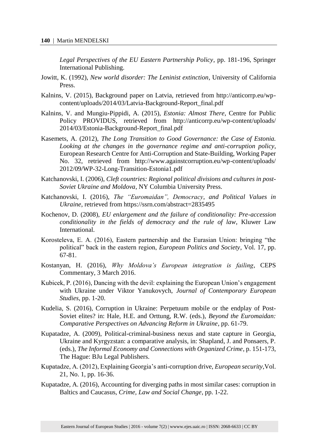*Legal Perspectives of the EU Eastern Partnership Policy*, pp. 181-196, Springer International Publishing.

- Jowitt, K. (1992), *New world disorder: The Leninist extinction*, University of California Press.
- Kalnins, V. (2015), Background paper on Latvia, retrieved from http://anticorrp.eu/wpcontent/uploads/2014/03/Latvia-Background-Report\_final.pdf
- Kalnins, V. and Mungiu-Pippidi, A. (2015), *Estonia: Almost There*, Centre for Public Policy PROVIDUS, retrieved from http://anticorrp.eu/wp-content/uploads/ 2014/03/Estonia-Background-Report\_final.pdf
- Kasemets, A. (2012), *The Long Transition to Good Governance: the Case of Estonia. Looking at the changes in the governance regime and anti-corruption policy*, European Research Centre for Anti-Corruption and State-Building, Working Paper No. 32, retrieved from http://www.againstcorruption.eu/wp-content/uploads/ 2012/09/WP-32-Long-Transition-Estonia1.pdf
- Katchanovski, I. (2006), *Cleft countries: Regional political divisions and cultures in post-Soviet Ukraine and Moldova*, NY Columbia University Press.
- Katchanovski, I. (2016), *The "Euromaidan", Democracy, and Political Values in Ukraine*, retrieved from https://ssrn.com/abstract=2835495
- Kochenov, D. (2008), *EU enlargement and the failure of conditionality: Pre-accession conditionality in the fields of democracy and the rule of law*, Kluwer Law International.
- Korosteleva, E. A. (2016), Eastern partnership and the Eurasian Union: bringing "the political" back in the eastern region, *European Politics and Society*, Vol. 17, pp. 67-81.
- Kostanyan, H. (2016), *Why Moldova's European integration is failing*, CEPS Commentary, 3 March 2016.
- Kubicek, P. (2016), Dancing with the devil: explaining the European Union's engagement with Ukraine under Viktor Yanukovych, *Journal of Contemporary European Studies*, pp. 1-20.
- Kudelia, S. (2016), Corruption in Ukraine: Perpetuum mobile or the endplay of Post-Soviet elites? in: Hale, H.E. and Orttung, R.W. (eds.), *Beyond the Euromaidan: Comparative Perspectives on Advancing Reform in Ukraine*, pp. 61-79.
- Kupatadze, A. (2009), Political-criminal-business nexus and state capture in Georgia, Ukraine and Kyrgyzstan: a comparative analysis, in: Shapland, J. and Ponsaers, P. (eds.), *The Informal Economy and Connections with Organized Crime*, p. 151-173, The Hague: BJu Legal Publishers.
- Kupatadze, A. (2012), Explaining Georgia's anti-corruption drive, *European security*,Vol. 21, No. 1, pp. 16-36.
- Kupatadze, A. (2016), Accounting for diverging paths in most similar cases: corruption in Baltics and Caucasus, *Crime, Law and Social Change*, pp. 1-22.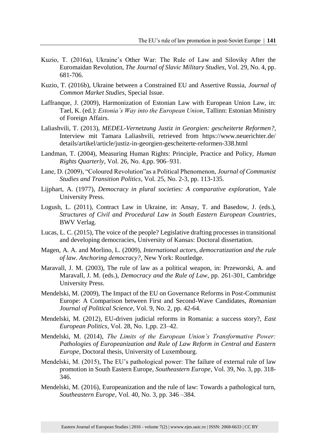- Kuzio, T. (2016a), Ukraine's Other War: The Rule of Law and Siloviky After the Euromaidan Revolution, *The Journal of Slavic Military Studies*, Vol. 29, No. 4, pp. 681-706.
- Kuzio, T. (2016b), Ukraine between a Constrained EU and Assertive Russia, *Journal of Common Market Studies,* Special Issue.
- Laffranque, J. (2009), Harmonization of Estonian Law with European Union Law, in: Tael, K. (ed.): *Estonia's Way into the European Union*, Tallinn: Estonian Ministry of Foreign Affairs.
- Laliashvili, T. (2013), *MEDEL-Vernetzung Justiz in Georgien: gescheiterte Reformen?,* Interview mit Tamara Laliashvili, retrieved from https://www.neuerichter.de/ details/artikel/article/justiz-in-georgien-gescheiterte-reformen-338.html
- Landman, T. (2004), Measuring Human Rights: Principle, Practice and Policy, *Human Rights Quarterly*, Vol. 26, No. 4,pp. 906–931.
- Lane, D. (2009), "Coloured Revolution"as a Political Phenomenon, *Journal of Communist Studies and Transition Politics*, Vol. 25, No. 2-3, pp. 113-135.
- Lijphart, A. (1977), *Democracy in plural societies: A comparative exploration*, Yale University Press.
- Logush, L. (2011), Contract Law in Ukraine, in: Ansay, T. and Basedow, J. (eds.), *Structures of Civil and Procedural Law in South Eastern European Countries*, BWV Verlag.
- Lucas, L. C. (2015), The voice of the people? Legislative drafting processes in transitional and developing democracies, University of Kansas: Doctoral dissertation.
- Magen, A. A. and Morlino, L. (2009), *International actors, democratization and the rule of law*. *Anchoring democracy?,* New York: Routledge.
- Maravall, J. M. (2003), The rule of law as a political weapon, in: Przeworski, A. and Maravall, J. M. (eds.), *Democracy and the Rule of Law*, pp. 261-301, Cambridge University Press.
- Mendelski, M. (2009), The Impact of the EU on Governance Reforms in Post-Communist Europe: A Comparison between First and Second-Wave Candidates, *Romanian Journal of Political Science*, Vol. 9, No. 2, pp. 42-64.
- Mendelski, M. (2012), EU-driven judicial reforms in Romania: a success story?, *East European Politics*, Vol. 28, No. 1,pp. 23–42.
- Mendelski, M. (2014), *The Limits of the European Union's Transformative Power: Pathologies of Europeanization and Rule of Law Reform in Central and Eastern Europe*, Doctoral thesis, University of Luxembourg.
- Mendelski, M. (2015), The EU's pathological power: The failure of external rule of law promotion in South Eastern Europe, *Southeastern Europe*, Vol. 39, No. 3, pp. 318- 346.
- Mendelski, M. (2016), Europeanization and the rule of law: Towards a pathological turn, *Southeastern Europe*, Vol. 40, No. 3, pp. 346 –384.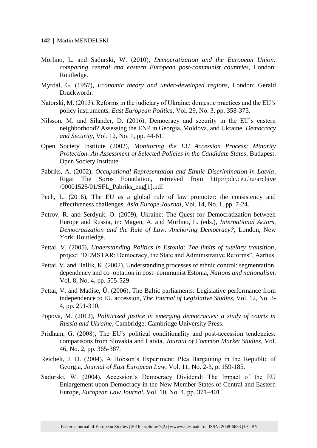- Morlino, L. and Sadurski, W. (2010), *Democratization and the European Union: comparing central and eastern European post-communist countries*, London: Routledge.
- Myrdal, G. (1957), *Economic theory and under-developed regions*, London: Gerald Druckworth.
- Natorski, M. (2013), Reforms in the judiciary of Ukraine: domestic practices and the EU's policy instruments, *East European Politics*, Vol. 29, No. 3, pp. 358-375.
- Nilsson, M. and Silander, D. (2016), Democracy and security in the EU's eastern neighborhood? Assessing the ENP in Georgia, Moldova, and Ukraine, *Democracy and Security*, Vol. 12, No. 1, pp. 44-61.
- Open Society Institute (2002), *Monitoring the EU Accession Process: Minority Protection. An Assessment of Selected Policies in the Candidate States*, Budapest: Open Society Institute.
- Pabriks, A. (2002), *Occupational Representation and Ethnic Discrimination in Latvia*, Riga: The Soros Foundation, retrieved from http://pdc.ceu.hu/archive /00001525/01/SFL\_Pabriks\_eng[1].pdf
- Pech, L. (2016), The EU as a global rule of law promoter: the consistency and effectiveness challenges, *Asia Europe Journal*, Vol. 14, No. 1, pp. 7-24.
- Petrov, R. and Serdyuk, O. (2009), Ukraine: The Quest for Democratization between Europe and Russia, in: Magen, A. and Morlino, L. (eds.), *International Actors, Democratization and the Rule of Law: Anchoring Democracy?,* London, New York: Routledge.
- Pettai, V. (2005), *Understanding Politics in Estonia: The limits of tutelary transition*, project "DEMSTAR: Democracy, the State and Administrative Reforms", Aarhus.
- Pettai, V. and Hallik, K. (2002), Understanding processes of ethnic control: segmentation, dependency and co–optation in post–communist Estonia, *Nations and nationalism*, Vol. 8, No. 4, pp. 505-529.
- Pettai, V. and Madise, Ü. (2006), The Baltic parliaments: Legislative performance from independence to EU accession, *The Journal of Legislative Studies*, Vol. 12, No. 3- 4, pp. 291-310.
- Popova, M. (2012), *Politicized justice in emerging democracies: a study of courts in Russia and Ukraine*, Cambridge: Cambridge University Press.
- Pridham, G. (2008), The EU's political conditionality and post-accession tendencies: comparisons from Slovakia and Latvia, *Journal of Common Market Studies*, Vol. 46, No. 2, pp. 365-387.
- Reichelt, J. D. (2004), A Hobson's Experiment: Plea Bargaining in the Republic of Georgia, *Journal of East European Law*, Vol. 11, No. 2-3, p. 159-185.
- Sadurski, W. (2004), Accession's Democracy Dividend: The Impact of the EU Enlargement upon Democracy in the New Member States of Central and Eastern Europe, *European Law Journal*, Vol. 10, No. 4, pp. 371–401.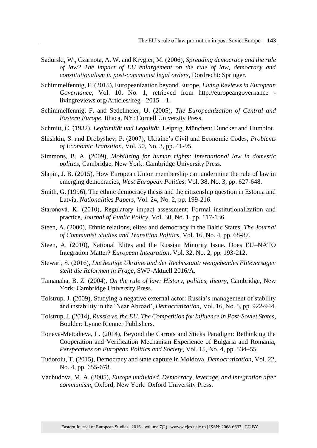- Sadurski, W., Czarnota, A. W. and Krygier, M. (2006), *Spreading democracy and the rule of law? The impact of EU enlargement on the rule of law, democracy and constitutionalism in post-communist legal orders*, Dordrecht: Springer.
- Schimmelfennig, F. (2015), Europeanization beyond Europe, *Living Reviews in European Governance*, Vol. 10, No. 1, retrieved from http://europeangovernance livingreviews.org/Articles/lreg - 2015 – 1.
- Schimmelfennig, F. and Sedelmeier, U. (2005), *The Europeanization of Central and Eastern Europe*, Ithaca, NY: Cornell University Press.
- Schmitt, C. (1932), *Legitimität und Legalität*, Leipzig, München: Duncker and Humblot.
- Shishkin, S. and Drobyshev, P. (2007), Ukraine's Civil and Economic Codes, *Problems of Economic Transition*, Vol. 50, No. 3, pp. 41-95.
- Simmons, B. A. (2009), *Mobilizing for human rights: International law in domestic politics*, Cambridge, New York: Cambridge University Press.
- Slapin, J. B. (2015), How European Union membership can undermine the rule of law in emerging democracies, *West European Politics*, Vol. 38, No. 3, pp. 627-648.
- Smith, G. (1996), The ethnic democracy thesis and the citizenship question in Estonia and Latvia, *Nationalities Papers*, Vol. 24, No. 2, pp. 199-216.
- Staroňová, K. (2010), Regulatory impact assessment: Formal institutionalization and practice, *Journal of Public Policy*, Vol. 30, No. 1, pp. 117-136.
- Steen, A. (2000), Ethnic relations, elites and democracy in the Baltic States, *The Journal of Communist Studies and Transition Politics*, Vol. 16, No. 4, pp. 68-87.
- Steen, A. (2010), National Elites and the Russian Minority Issue. Does EU–NATO Integration Matter? *European Integration*, Vol. 32, No. 2, pp. 193-212.
- Stewart, S. (2016), *Die heutige Ukraine und der Rechtsstaat: weitgehendes Eliteversagen stellt die Reformen in Frage*, SWP-Aktuell 2016/A.
- Tamanaha, B. Z. (2004), *On the rule of law: History, politics, theory*, Cambridge, New York: Cambridge University Press.
- Tolstrup, J. (2009), Studying a negative external actor: Russia's management of stability and instability in the 'Near Abroad', *Democratization*, Vol. 16, No. 5, pp. 922-944.
- Tolstrup, J. (2014), *Russia vs. the EU. The Competition for Influence in Post-Soviet States,*  Boulder: Lynne Rienner Publishers.
- Toneva-Metodieva, L. (2014), Beyond the Carrots and Sticks Paradigm: Rethinking the Cooperation and Verification Mechanism Experience of Bulgaria and Romania, *Perspectives on European Politics and Society*, Vol. 15, No. 4, pp. 534–55.
- Tudoroiu, T. (2015), Democracy and state capture in Moldova, *Democratization*, Vol. 22, No. 4, pp. 655-678.
- Vachudova, M. A. (2005), *Europe undivided. Democracy, leverage, and integration after communism*, Oxford, New York: Oxford University Press.